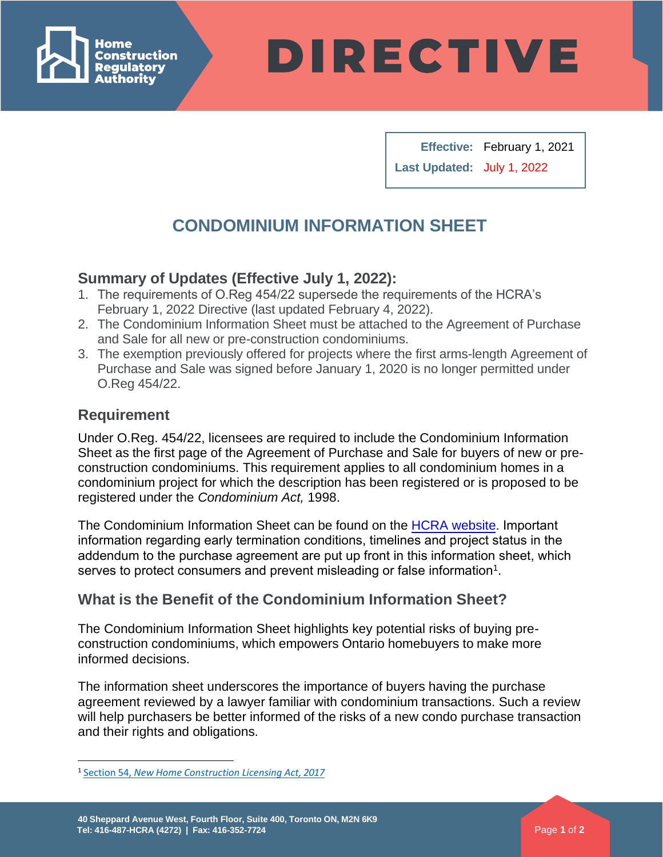

**DIRECTIVE** 

**Effective:** February 1, 2021 **Last Updated:** July 1, 2022

# **CONDOMINIUM INFORMATION SHEET**

## **Summary of Updates (Effective July 1, 2022):**

- 1. The requirements of O.Reg 454/22 supersede the requirements of the HCRA's February 1, 2022 Directive (last updated February 4, 2022).
- 2. The Condominium Information Sheet must be attached to the Agreement of Purchase and Sale for all new or pre-construction condominiums.
- 3. The exemption previously offered for projects where the first arms-length Agreement of Purchase and Sale was signed before January 1, 2020 is no longer permitted under O.Reg 454/22.

#### **Requirement**

Under O.Reg. 454/22, licensees are required to include the Condominium Information Sheet as the first page of the Agreement of Purchase and Sale for buyers of new or preconstruction condominiums. This requirement applies to all condominium homes in a condominium project for which the description has been registered or is proposed to be registered under the *Condominium Act,* 1998.

The Condominium Information Sheet can be found on the HCRA [website](https://www.hcraontario.ca/HCRA_CondoInfoSheet_2022_6_22.pdf). Important information regarding early termination conditions, timelines and project status in the addendum to the purchase agreement are put up front in this information sheet, which serves to protect consumers and prevent misleading or false information $^1$ [.](#page-0-0)

## **What is the Benefit of the Condominium Information Sheet?**

The Condominium Information Sheet highlights key potential risks of buying preconstruction condominiums, which empowers Ontario homebuyers to make more informed decisions.

The information sheet underscores the importance of buyers having the purchase agreement reviewed by a lawyer familiar with condominium transactions. Such a review will help purchasers be better informed of the risks of a new condo purchase transaction and their rights and obligations.

<span id="page-0-0"></span><sup>1</sup> Section 54, *New Home [Construction](https://www.ontario.ca/laws/statute/17n33) Licensing Act, 2017*